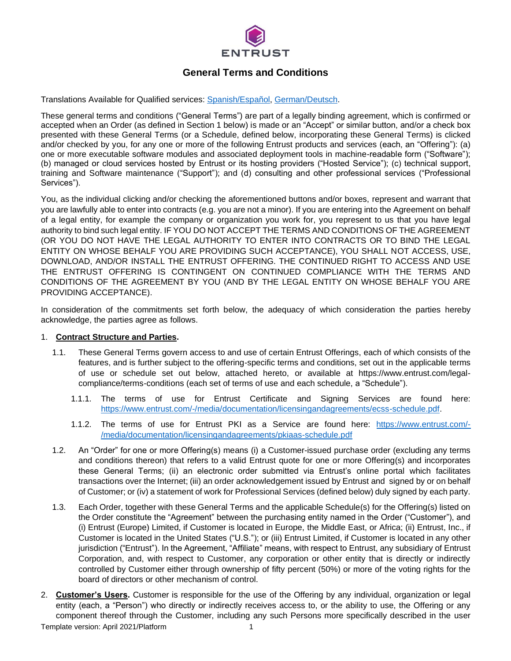

# **General Terms and Conditions**

Translations Available for Qualified services: [Spanish/Español,](https://www.entrust.com/entrust-certificate-services/qualified-services/es) [German/Deutsch.](https://www.entrust.com/entrust-certificate-services/qualified-services/de)

These general terms and conditions ("General Terms") are part of a legally binding agreement, which is confirmed or accepted when an Order (as defined in Section 1 below) is made or an "Accept" or similar button, and/or a check box presented with these General Terms (or a Schedule, defined below, incorporating these General Terms) is clicked and/or checked by you, for any one or more of the following Entrust products and services (each, an "Offering"): (a) one or more executable software modules and associated deployment tools in machine-readable form ("Software"); (b) managed or cloud services hosted by Entrust or its hosting providers ("Hosted Service"); (c) technical support, training and Software maintenance ("Support"); and (d) consulting and other professional services ("Professional Services").

You, as the individual clicking and/or checking the aforementioned buttons and/or boxes, represent and warrant that you are lawfully able to enter into contracts (e.g. you are not a minor). If you are entering into the Agreement on behalf of a legal entity, for example the company or organization you work for, you represent to us that you have legal authority to bind such legal entity. IF YOU DO NOT ACCEPT THE TERMS AND CONDITIONS OF THE AGREEMENT (OR YOU DO NOT HAVE THE LEGAL AUTHORITY TO ENTER INTO CONTRACTS OR TO BIND THE LEGAL ENTITY ON WHOSE BEHALF YOU ARE PROVIDING SUCH ACCEPTANCE), YOU SHALL NOT ACCESS, USE, DOWNLOAD, AND/OR INSTALL THE ENTRUST OFFERING. THE CONTINUED RIGHT TO ACCESS AND USE THE ENTRUST OFFERING IS CONTINGENT ON CONTINUED COMPLIANCE WITH THE TERMS AND CONDITIONS OF THE AGREEMENT BY YOU (AND BY THE LEGAL ENTITY ON WHOSE BEHALF YOU ARE PROVIDING ACCEPTANCE).

In consideration of the commitments set forth below, the adequacy of which consideration the parties hereby acknowledge, the parties agree as follows.

#### 1. **Contract Structure and Parties.**

- <span id="page-0-3"></span>1.1. These General Terms govern access to and use of certain Entrust Offerings, each of which consists of the features, and is further subject to the offering-specific terms and conditions, set out in the applicable terms of use or schedule set out below, attached hereto, or available at https://www.entrust.com/legalcompliance/terms-conditions (each set of terms of use and each schedule, a "Schedule").
	- 1.1.1. The terms of use for Entrust Certificate and Signing Services are found here: [https://www.entrust.com/-/media/documentation/licensingandagreements/ecss-schedule.pdf.](https://www.entrust.com/-/media/documentation/licensingandagreements/ecss-schedule.pdf)
	- 1.1.2. The terms of use for Entrust PKI as a Service are found here: [https://www.entrust.com/-](https://www.entrust.com/-/media/documentation/licensingandagreements/pkiaas-schedule.pdf) [/media/documentation/licensingandagreements/pkiaas-schedule.pdf](https://www.entrust.com/-/media/documentation/licensingandagreements/pkiaas-schedule.pdf)
- <span id="page-0-2"></span>1.2. An "Order" for one or more Offering(s) means (i) a Customer-issued purchase order (excluding any terms and conditions thereon) that refers to a valid Entrust quote for one or more Offering(s) and incorporates these General Terms; (ii) an electronic order submitted via Entrust's online portal which facilitates transactions over the Internet; (iii) an order acknowledgement issued by Entrust and signed by or on behalf of Customer; or (iv) a statement of work for Professional Services (defined below) duly signed by each party.
- <span id="page-0-0"></span>1.3. Each Order, together with these General Terms and the applicable Schedule(s) for the Offering(s) listed on the Order constitute the "Agreement" between the purchasing entity named in the Order ("Customer"), and (i) Entrust (Europe) Limited, if Customer is located in Europe, the Middle East, or Africa; (ii) Entrust, Inc., if Customer is located in the United States ("U.S."); or (iii) Entrust Limited, if Customer is located in any other jurisdiction ("Entrust"). In the Agreement, "Affiliate" means, with respect to Entrust, any subsidiary of Entrust Corporation, and, with respect to Customer, any corporation or other entity that is directly or indirectly controlled by Customer either through ownership of fifty percent (50%) or more of the voting rights for the board of directors or other mechanism of control.
- <span id="page-0-1"></span>2. **Customer's Users.** Customer is responsible for the use of the Offering by any individual, organization or legal entity (each, a "Person") who directly or indirectly receives access to, or the ability to use, the Offering or any component thereof through the Customer, including any such Persons more specifically described in the user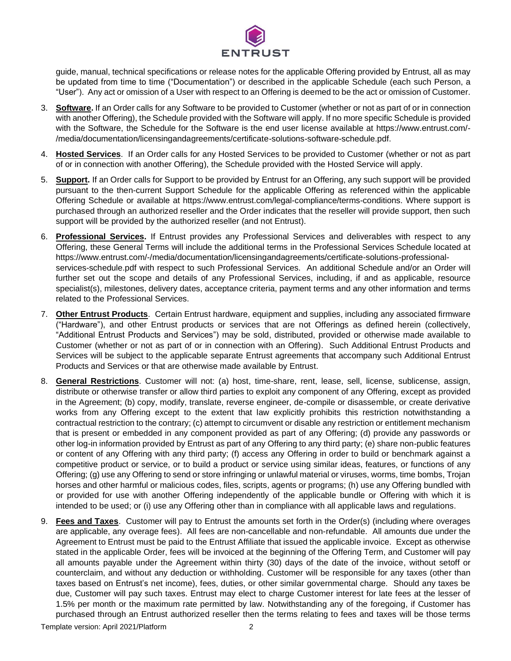

guide, manual, technical specifications or release notes for the applicable Offering provided by Entrust, all as may be updated from time to time ("Documentation") or described in the applicable Schedule (each such Person, a "User"). Any act or omission of a User with respect to an Offering is deemed to be the act or omission of Customer.

- 3. **Software.** If an Order calls for any Software to be provided to Customer (whether or not as part of or in connection with another Offering), the Schedule provided with the Software will apply. If no more specific Schedule is provided with the Software, the Schedule for the Software is the end user license available at https://www.entrust.com/- /media/documentation/licensingandagreements/certificate-solutions-software-schedule.pdf.
- 4. **Hosted Services**. If an Order calls for any Hosted Services to be provided to Customer (whether or not as part of or in connection with another Offering), the Schedule provided with the Hosted Service will apply.
- 5. **Support.** If an Order calls for Support to be provided by Entrust for an Offering, any such support will be provided pursuant to the then-current Support Schedule for the applicable Offering as referenced within the applicable Offering Schedule or available at https://www.entrust.com/legal-compliance/terms-conditions. Where support is purchased through an authorized reseller and the Order indicates that the reseller will provide support, then such support will be provided by the authorized reseller (and not Entrust).
- 6. **Professional Services.** If Entrust provides any Professional Services and deliverables with respect to any Offering, these General Terms will include the additional terms in the Professional Services Schedule located at [https://www.entrust.com/-/media/documentation/licensingandagreements/c](https://www.entrust.com/-/media/documentation/licensingandagreements/)ertificate-solutions-professionalservices-schedule.pdf with respect to such Professional Services. An additional Schedule and/or an Order will further set out the scope and details of any Professional Services, including, if and as applicable, resource specialist(s), milestones, delivery dates, acceptance criteria, payment terms and any other information and terms related to the Professional Services.
- <span id="page-1-0"></span>7. **Other Entrust Products**. Certain Entrust hardware, equipment and supplies, including any associated firmware ("Hardware"), and other Entrust products or services that are not Offerings as defined herein (collectively, "Additional Entrust Products and Services") may be sold, distributed, provided or otherwise made available to Customer (whether or not as part of or in connection with an Offering). Such Additional Entrust Products and Services will be subject to the applicable separate Entrust agreements that accompany such Additional Entrust Products and Services or that are otherwise made available by Entrust.
- 8. **General Restrictions**. Customer will not: (a) host, time-share, rent, lease, sell, license, sublicense, assign, distribute or otherwise transfer or allow third parties to exploit any component of any Offering, except as provided in the Agreement; (b) copy, modify, translate, reverse engineer, de-compile or disassemble, or create derivative works from any Offering except to the extent that law explicitly prohibits this restriction notwithstanding a contractual restriction to the contrary; (c) attempt to circumvent or disable any restriction or entitlement mechanism that is present or embedded in any component provided as part of any Offering; (d) provide any passwords or other log-in information provided by Entrust as part of any Offering to any third party; (e) share non-public features or content of any Offering with any third party; (f) access any Offering in order to build or benchmark against a competitive product or service, or to build a product or service using similar ideas, features, or functions of any Offering; (g) use any Offering to send or store infringing or unlawful material or viruses, worms, time bombs, Trojan horses and other harmful or malicious codes, files, scripts, agents or programs; (h) use any Offering bundled with or provided for use with another Offering independently of the applicable bundle or Offering with which it is intended to be used; or (i) use any Offering other than in compliance with all applicable laws and regulations.
- 9. **Fees and Taxes**. Customer will pay to Entrust the amounts set forth in the Order(s) (including where overages are applicable, any overage fees). All fees are non-cancellable and non-refundable. All amounts due under the Agreement to Entrust must be paid to the Entrust Affiliate that issued the applicable invoice. Except as otherwise stated in the applicable Order, fees will be invoiced at the beginning of the Offering Term, and Customer will pay all amounts payable under the Agreement within thirty (30) days of the date of the invoice, without setoff or counterclaim, and without any deduction or withholding. Customer will be responsible for any taxes (other than taxes based on Entrust's net income), fees, duties, or other similar governmental charge. Should any taxes be due, Customer will pay such taxes. Entrust may elect to charge Customer interest for late fees at the lesser of 1.5% per month or the maximum rate permitted by law. Notwithstanding any of the foregoing, if Customer has purchased through an Entrust authorized reseller then the terms relating to fees and taxes will be those terms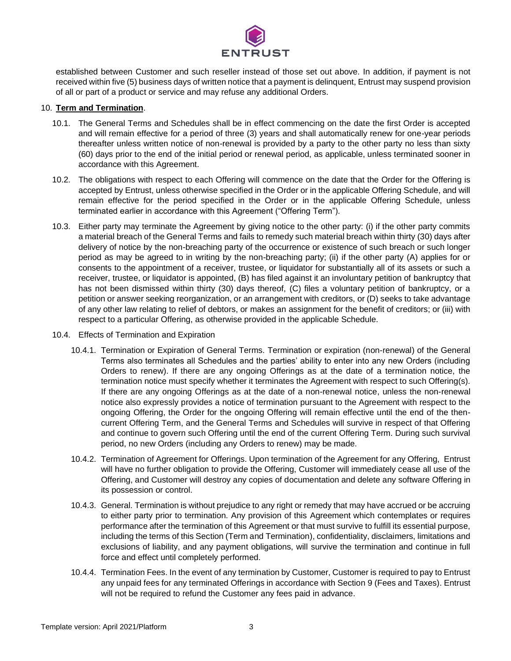

established between Customer and such reseller instead of those set out above. In addition, if payment is not received within five (5) business days of written notice that a payment is delinquent, Entrust may suspend provision of all or part of a product or service and may refuse any additional Orders.

## 10. **Term and Termination**.

- 10.1. The General Terms and Schedules shall be in effect commencing on the date the first Order is accepted and will remain effective for a period of three (3) years and shall automatically renew for one-year periods thereafter unless written notice of non-renewal is provided by a party to the other party no less than sixty (60) days prior to the end of the initial period or renewal period, as applicable, unless terminated sooner in accordance with this Agreement.
- <span id="page-2-0"></span>10.2. The obligations with respect to each Offering will commence on the date that the Order for the Offering is accepted by Entrust, unless otherwise specified in the Order or in the applicable Offering Schedule, and will remain effective for the period specified in the Order or in the applicable Offering Schedule, unless terminated earlier in accordance with this Agreement ("Offering Term").
- 10.3. Either party may terminate the Agreement by giving notice to the other party: (i) if the other party commits a material breach of the General Terms and fails to remedy such material breach within thirty (30) days after delivery of notice by the non-breaching party of the occurrence or existence of such breach or such longer period as may be agreed to in writing by the non-breaching party; (ii) if the other party (A) applies for or consents to the appointment of a receiver, trustee, or liquidator for substantially all of its assets or such a receiver, trustee, or liquidator is appointed, (B) has filed against it an involuntary petition of bankruptcy that has not been dismissed within thirty (30) days thereof, (C) files a voluntary petition of bankruptcy, or a petition or answer seeking reorganization, or an arrangement with creditors, or (D) seeks to take advantage of any other law relating to relief of debtors, or makes an assignment for the benefit of creditors; or (iii) with respect to a particular Offering, as otherwise provided in the applicable Schedule.
- 10.4. Effects of Termination and Expiration
	- 10.4.1. Termination or Expiration of General Terms. Termination or expiration (non-renewal) of the General Terms also terminates all Schedules and the parties' ability to enter into any new Orders (including Orders to renew). If there are any ongoing Offerings as at the date of a termination notice, the termination notice must specify whether it terminates the Agreement with respect to such Offering(s). If there are any ongoing Offerings as at the date of a non-renewal notice, unless the non-renewal notice also expressly provides a notice of termination pursuant to the Agreement with respect to the ongoing Offering, the Order for the ongoing Offering will remain effective until the end of the thencurrent Offering Term, and the General Terms and Schedules will survive in respect of that Offering and continue to govern such Offering until the end of the current Offering Term. During such survival period, no new Orders (including any Orders to renew) may be made.
	- 10.4.2. Termination of Agreement for Offerings. Upon termination of the Agreement for any Offering, Entrust will have no further obligation to provide the Offering, Customer will immediately cease all use of the Offering, and Customer will destroy any copies of documentation and delete any software Offering in its possession or control.
	- 10.4.3. General. Termination is without prejudice to any right or remedy that may have accrued or be accruing to either party prior to termination. Any provision of this Agreement which contemplates or requires performance after the termination of this Agreement or that must survive to fulfill its essential purpose, including the terms of this Section (Term and Termination), confidentiality, disclaimers, limitations and exclusions of liability, and any payment obligations, will survive the termination and continue in full force and effect until completely performed.
	- 10.4.4. Termination Fees. In the event of any termination by Customer, Customer is required to pay to Entrust any unpaid fees for any terminated Offerings in accordance with Section 9 (Fees and Taxes). Entrust will not be required to refund the Customer any fees paid in advance.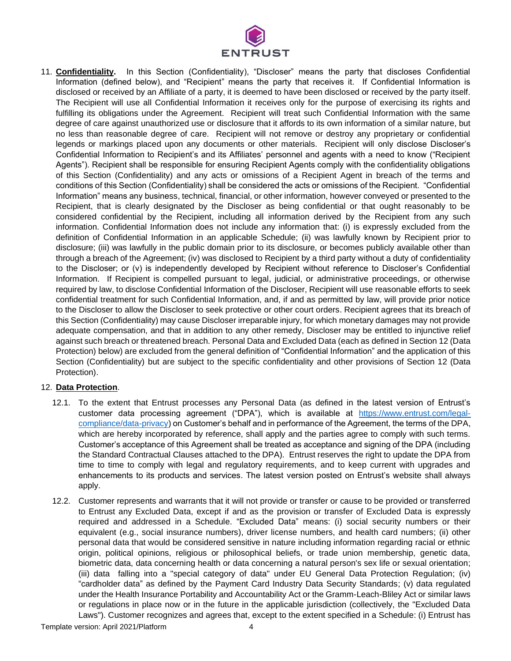

<span id="page-3-0"></span>11. **Confidentiality.** In this Section (Confidentiality), "Discloser" means the party that discloses Confidential Information (defined below), and "Recipient" means the party that receives it. If Confidential Information is disclosed or received by an Affiliate of a party, it is deemed to have been disclosed or received by the party itself. The Recipient will use all Confidential Information it receives only for the purpose of exercising its rights and fulfilling its obligations under the Agreement. Recipient will treat such Confidential Information with the same degree of care against unauthorized use or disclosure that it affords to its own information of a similar nature, but no less than reasonable degree of care. Recipient will not remove or destroy any proprietary or confidential legends or markings placed upon any documents or other materials. Recipient will only disclose Discloser's Confidential Information to Recipient's and its Affiliates' personnel and agents with a need to know ("Recipient Agents"). Recipient shall be responsible for ensuring Recipient Agents comply with the confidentiality obligations of this Section (Confidentiality) and any acts or omissions of a Recipient Agent in breach of the terms and conditions of this Section (Confidentiality) shall be considered the acts or omissions of the Recipient. "Confidential Information" means any business, technical, financial, or other information, however conveyed or presented to the Recipient, that is clearly designated by the Discloser as being confidential or that ought reasonably to be considered confidential by the Recipient, including all information derived by the Recipient from any such information. Confidential Information does not include any information that: (i) is expressly excluded from the definition of Confidential Information in an applicable Schedule; (ii) was lawfully known by Recipient prior to disclosure; (iii) was lawfully in the public domain prior to its disclosure, or becomes publicly available other than through a breach of the Agreement; (iv) was disclosed to Recipient by a third party without a duty of confidentiality to the Discloser; or (v) is independently developed by Recipient without reference to Discloser's Confidential Information. If Recipient is compelled pursuant to legal, judicial, or administrative proceedings, or otherwise required by law, to disclose Confidential Information of the Discloser, Recipient will use reasonable efforts to seek confidential treatment for such Confidential Information, and, if and as permitted by law, will provide prior notice to the Discloser to allow the Discloser to seek protective or other court orders. Recipient agrees that its breach of this Section (Confidentiality) may cause Discloser irreparable injury, for which monetary damages may not provide adequate compensation, and that in addition to any other remedy, Discloser may be entitled to injunctive relief against such breach or threatened breach. Personal Data and Excluded Data (each as defined in Section 12 (Data Protection) below) are excluded from the general definition of "Confidential Information" and the application of this Section (Confidentiality) but are subject to the specific confidentiality and other provisions of Section 12 (Data Protection).

## 12. **Data Protection**.

- <span id="page-3-1"></span>12.1. To the extent that Entrust processes any Personal Data (as defined in the latest version of Entrust's customer data processing agreement ("DPA"), which is available at [https://www.entrust.com/legal](https://www.entrust.com/legal-compliance/data-privacy)[compliance/data-privacy\)](https://www.entrust.com/legal-compliance/data-privacy) on Customer's behalf and in performance of the Agreement, the terms of the DPA, which are hereby incorporated by reference, shall apply and the parties agree to comply with such terms. Customer's acceptance of this Agreement shall be treated as acceptance and signing of the DPA (including the Standard Contractual Clauses attached to the DPA). Entrust reserves the right to update the DPA from time to time to comply with legal and regulatory requirements, and to keep current with upgrades and enhancements to its products and services. The latest version posted on Entrust's website shall always apply.
- <span id="page-3-2"></span>12.2. Customer represents and warrants that it will not provide or transfer or cause to be provided or transferred to Entrust any Excluded Data, except if and as the provision or transfer of Excluded Data is expressly required and addressed in a Schedule. "Excluded Data" means: (i) social security numbers or their equivalent (e.g., social insurance numbers), driver license numbers, and health card numbers; (ii) other personal data that would be considered sensitive in nature including information regarding racial or ethnic origin, political opinions, religious or philosophical beliefs, or trade union membership, genetic data, biometric data, data concerning health or data concerning a natural person's sex life or sexual orientation; (iii) data falling into a "special category of data" under EU General Data Protection Regulation; (iv) "cardholder data" as defined by the Payment Card Industry Data Security Standards; (v) data regulated under the Health Insurance Portability and Accountability Act or the Gramm-Leach-Bliley Act or similar laws or regulations in place now or in the future in the applicable jurisdiction (collectively, the "Excluded Data Laws"). Customer recognizes and agrees that, except to the extent specified in a Schedule: (i) Entrust has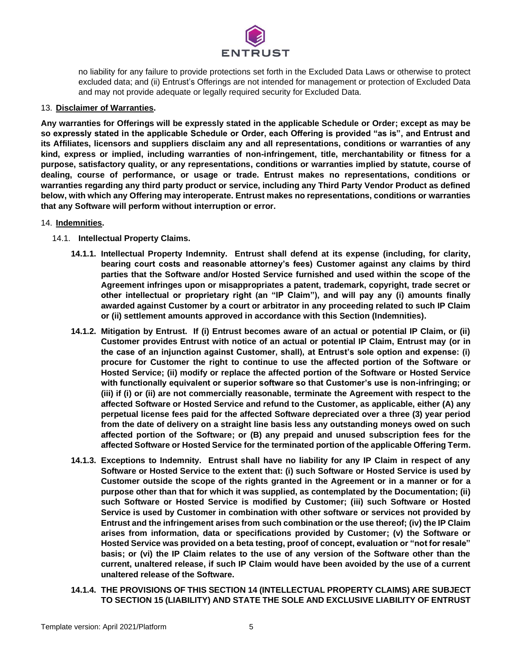

no liability for any failure to provide protections set forth in the Excluded Data Laws or otherwise to protect excluded data; and (ii) Entrust's Offerings are not intended for management or protection of Excluded Data and may not provide adequate or legally required security for Excluded Data.

#### 13. **Disclaimer of Warranties.**

**Any warranties for Offerings will be expressly stated in the applicable Schedule or Order; except as may be so expressly stated in the applicable Schedule or Order, each Offering is provided "as is", and Entrust and its Affiliates, licensors and suppliers disclaim any and all representations, conditions or warranties of any kind, express or implied, including warranties of non-infringement, title, merchantability or fitness for a purpose, satisfactory quality, or any representations, conditions or warranties implied by statute, course of dealing, course of performance, or usage or trade. Entrust makes no representations, conditions or warranties regarding any third party product or service, including any Third Party Vendor Product as defined below, with which any Offering may interoperate. Entrust makes no representations, conditions or warranties that any Software will perform without interruption or error.**

#### 14. **Indemnities.**

- <span id="page-4-0"></span>14.1. **Intellectual Property Claims.**
	- **14.1.1. Intellectual Property Indemnity. Entrust shall defend at its expense (including, for clarity, bearing court costs and reasonable attorney's fees) Customer against any claims by third parties that the Software and/or Hosted Service furnished and used within the scope of the Agreement infringes upon or misappropriates a patent, trademark, copyright, trade secret or other intellectual or proprietary right (an "IP Claim"), and will pay any (i) amounts finally awarded against Customer by a court or arbitrator in any proceeding related to such IP Claim or (ii) settlement amounts approved in accordance with this Section (Indemnities).**
	- **14.1.2. Mitigation by Entrust. If (i) Entrust becomes aware of an actual or potential IP Claim, or (ii) Customer provides Entrust with notice of an actual or potential IP Claim, Entrust may (or in the case of an injunction against Customer, shall), at Entrust's sole option and expense: (i) procure for Customer the right to continue to use the affected portion of the Software or Hosted Service; (ii) modify or replace the affected portion of the Software or Hosted Service with functionally equivalent or superior software so that Customer's use is non-infringing; or (iii) if (i) or (ii) are not commercially reasonable, terminate the Agreement with respect to the affected Software or Hosted Service and refund to the Customer, as applicable, either (A) any perpetual license fees paid for the affected Software depreciated over a three (3) year period from the date of delivery on a straight line basis less any outstanding moneys owed on such affected portion of the Software; or (B) any prepaid and unused subscription fees for the affected Software or Hosted Service for the terminated portion of the applicable Offering Term.**
	- **14.1.3. Exceptions to Indemnity. Entrust shall have no liability for any IP Claim in respect of any Software or Hosted Service to the extent that: (i) such Software or Hosted Service is used by Customer outside the scope of the rights granted in the Agreement or in a manner or for a purpose other than that for which it was supplied, as contemplated by the Documentation; (ii) such Software or Hosted Service is modified by Customer; (iii) such Software or Hosted Service is used by Customer in combination with other software or services not provided by Entrust and the infringement arises from such combination or the use thereof; (iv) the IP Claim arises from information, data or specifications provided by Customer; (v) the Software or Hosted Service was provided on a beta testing, proof of concept, evaluation or "not for resale" basis; or (vi) the IP Claim relates to the use of any version of the Software other than the current, unaltered release, if such IP Claim would have been avoided by the use of a current unaltered release of the Software.**
	- **14.1.4. THE PROVISIONS OF THIS SECTION 14 (INTELLECTUAL PROPERTY CLAIMS) ARE SUBJECT TO SECTION 15 (LIABILITY) AND STATE THE SOLE AND EXCLUSIVE LIABILITY OF ENTRUST**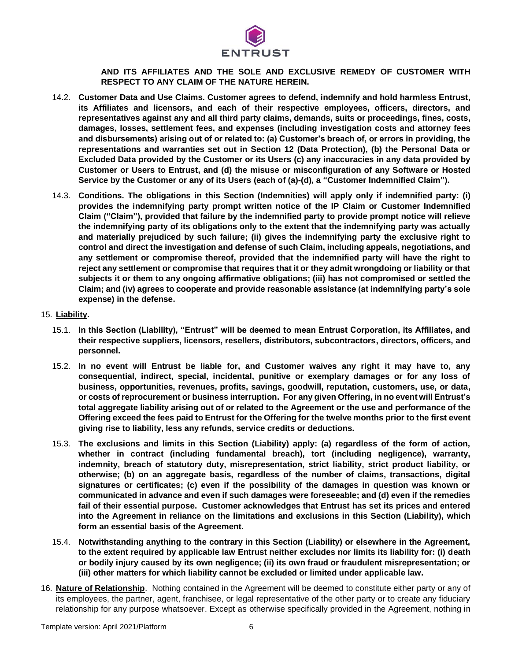

# **AND ITS AFFILIATES AND THE SOLE AND EXCLUSIVE REMEDY OF CUSTOMER WITH RESPECT TO ANY CLAIM OF THE NATURE HEREIN.**

- <span id="page-5-1"></span>14.2. **Customer Data and Use Claims. Customer agrees to defend, indemnify and hold harmless Entrust, its Affiliates and licensors, and each of their respective employees, officers, directors, and representatives against any and all third party claims, demands, suits or proceedings, fines, costs, damages, losses, settlement fees, and expenses (including investigation costs and attorney fees and disbursements) arising out of or related to: (a) Customer's breach of, or errors in providing, the representations and warranties set out in Section 12 (Data Protection), (b) the Personal Data or Excluded Data provided by the Customer or its Users (c) any inaccuracies in any data provided by Customer or Users to Entrust, and (d) the misuse or misconfiguration of any Software or Hosted Service by the Customer or any of its Users (each of (a)-(d), a "Customer Indemnified Claim").**
- <span id="page-5-0"></span>14.3. **Conditions. The obligations in this Section (Indemnities) will apply only if indemnified party: (i) provides the indemnifying party prompt written notice of the IP Claim or Customer Indemnified Claim ("Claim"), provided that failure by the indemnified party to provide prompt notice will relieve the indemnifying party of its obligations only to the extent that the indemnifying party was actually and materially prejudiced by such failure; (ii) gives the indemnifying party the exclusive right to control and direct the investigation and defense of such Claim, including appeals, negotiations, and any settlement or compromise thereof, provided that the indemnified party will have the right to reject any settlement or compromise that requires that it or they admit wrongdoing or liability or that subjects it or them to any ongoing affirmative obligations; (iii) has not compromised or settled the Claim; and (iv) agrees to cooperate and provide reasonable assistance (at indemnifying party's sole expense) in the defense.**
- <span id="page-5-2"></span>15. **Liability.**
	- 15.1. **In this Section (Liability), "Entrust" will be deemed to mean Entrust Corporation, its Affiliates, and their respective suppliers, licensors, resellers, distributors, subcontractors, directors, officers, and personnel.**
	- 15.2. **In no event will Entrust be liable for, and Customer waives any right it may have to, any consequential, indirect, special, incidental, punitive or exemplary damages or for any loss of business, opportunities, revenues, profits, savings, goodwill, reputation, customers, use, or data, or costs of reprocurement or business interruption. For any given Offering, in no event will Entrust's total aggregate liability arising out of or related to the Agreement or the use and performance of the Offering exceed the fees paid to Entrust for the Offering for the twelve months prior to the first event giving rise to liability, less any refunds, service credits or deductions.**
	- 15.3. **The exclusions and limits in this Section (Liability) apply: (a) regardless of the form of action, whether in contract (including fundamental breach), tort (including negligence), warranty, indemnity, breach of statutory duty, misrepresentation, strict liability, strict product liability, or otherwise; (b) on an aggregate basis, regardless of the number of claims, transactions, digital signatures or certificates; (c) even if the possibility of the damages in question was known or communicated in advance and even if such damages were foreseeable; and (d) even if the remedies fail of their essential purpose. Customer acknowledges that Entrust has set its prices and entered into the Agreement in reliance on the limitations and exclusions in this Section (Liability), which form an essential basis of the Agreement.**
	- 15.4. **Notwithstanding anything to the contrary in this Section (Liability) or elsewhere in the Agreement, to the extent required by applicable law Entrust neither excludes nor limits its liability for: (i) death or bodily injury caused by its own negligence; (ii) its own fraud or fraudulent misrepresentation; or (iii) other matters for which liability cannot be excluded or limited under applicable law.**
- 16. **Nature of Relationship**. Nothing contained in the Agreement will be deemed to constitute either party or any of its employees, the partner, agent, franchisee, or legal representative of the other party or to create any fiduciary relationship for any purpose whatsoever. Except as otherwise specifically provided in the Agreement, nothing in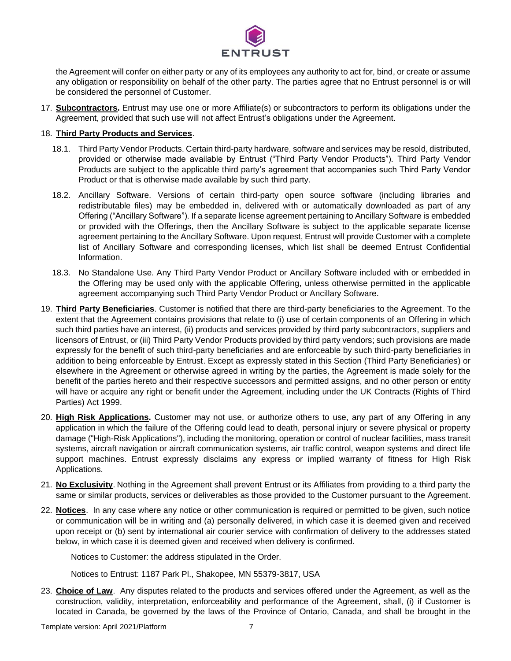

the Agreement will confer on either party or any of its employees any authority to act for, bind, or create or assume any obligation or responsibility on behalf of the other party. The parties agree that no Entrust personnel is or will be considered the personnel of Customer.

17. **Subcontractors.** Entrust may use one or more Affiliate(s) or subcontractors to perform its obligations under the Agreement, provided that such use will not affect Entrust's obligations under the Agreement.

## 18. **Third Party Products and Services**.

- 18.1. Third Party Vendor Products. Certain third-party hardware, software and services may be resold, distributed, provided or otherwise made available by Entrust ("Third Party Vendor Products"). Third Party Vendor Products are subject to the applicable third party's agreement that accompanies such Third Party Vendor Product or that is otherwise made available by such third party.
- 18.2. Ancillary Software. Versions of certain third-party open source software (including libraries and redistributable files) may be embedded in, delivered with or automatically downloaded as part of any Offering ("Ancillary Software"). If a separate license agreement pertaining to Ancillary Software is embedded or provided with the Offerings, then the Ancillary Software is subject to the applicable separate license agreement pertaining to the Ancillary Software. Upon request, Entrust will provide Customer with a complete list of Ancillary Software and corresponding licenses, which list shall be deemed Entrust Confidential Information.
- 18.3. No Standalone Use. Any Third Party Vendor Product or Ancillary Software included with or embedded in the Offering may be used only with the applicable Offering, unless otherwise permitted in the applicable agreement accompanying such Third Party Vendor Product or Ancillary Software.
- 19. **Third Party Beneficiaries**. Customer is notified that there are third-party beneficiaries to the Agreement. To the extent that the Agreement contains provisions that relate to (i) use of certain components of an Offering in which such third parties have an interest, (ii) products and services provided by third party subcontractors, suppliers and licensors of Entrust, or (iii) Third Party Vendor Products provided by third party vendors; such provisions are made expressly for the benefit of such third-party beneficiaries and are enforceable by such third-party beneficiaries in addition to being enforceable by Entrust. Except as expressly stated in this Section (Third Party Beneficiaries) or elsewhere in the Agreement or otherwise agreed in writing by the parties, the Agreement is made solely for the benefit of the parties hereto and their respective successors and permitted assigns, and no other person or entity will have or acquire any right or benefit under the Agreement, including under the UK Contracts (Rights of Third Parties) Act 1999.
- <span id="page-6-0"></span>20. **High Risk Applications.** Customer may not use, or authorize others to use, any part of any Offering in any application in which the failure of the Offering could lead to death, personal injury or severe physical or property damage ("High-Risk Applications"), including the monitoring, operation or control of nuclear facilities, mass transit systems, aircraft navigation or aircraft communication systems, air traffic control, weapon systems and direct life support machines. Entrust expressly disclaims any express or implied warranty of fitness for High Risk Applications.
- 21. **No Exclusivity**. Nothing in the Agreement shall prevent Entrust or its Affiliates from providing to a third party the same or similar products, services or deliverables as those provided to the Customer pursuant to the Agreement.
- 22. **Notices**. In any case where any notice or other communication is required or permitted to be given, such notice or communication will be in writing and (a) personally delivered, in which case it is deemed given and received upon receipt or (b) sent by international air courier service with confirmation of delivery to the addresses stated below, in which case it is deemed given and received when delivery is confirmed.

Notices to Customer: the address stipulated in the Order.

Notices to Entrust: 1187 Park Pl., Shakopee, MN 55379-3817, USA

23. **Choice of Law**. Any disputes related to the products and services offered under the Agreement, as well as the construction, validity, interpretation, enforceability and performance of the Agreement, shall, (i) if Customer is located in Canada, be governed by the laws of the Province of Ontario, Canada, and shall be brought in the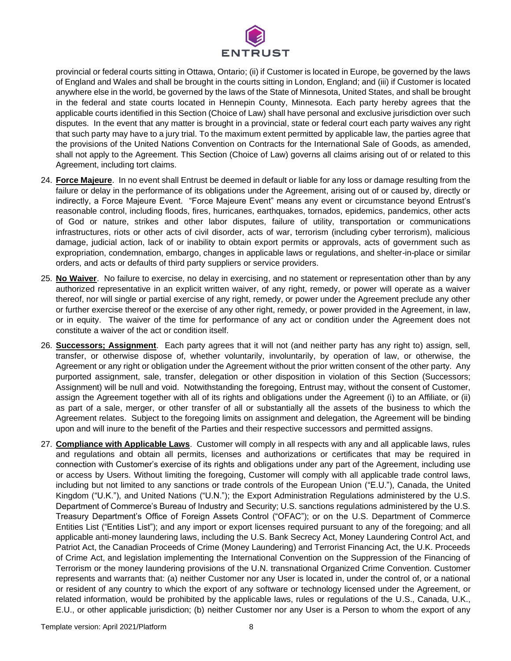

provincial or federal courts sitting in Ottawa, Ontario; (ii) if Customer is located in Europe, be governed by the laws of England and Wales and shall be brought in the courts sitting in London, England; and (iii) if Customer is located anywhere else in the world, be governed by the laws of the State of Minnesota, United States, and shall be brought in the federal and state courts located in Hennepin County, Minnesota. Each party hereby agrees that the applicable courts identified in this Section (Choice of Law) shall have personal and exclusive jurisdiction over such disputes. In the event that any matter is brought in a provincial, state or federal court each party waives any right that such party may have to a jury trial. To the maximum extent permitted by applicable law, the parties agree that the provisions of the United Nations Convention on Contracts for the International Sale of Goods, as amended, shall not apply to the Agreement. This Section (Choice of Law) governs all claims arising out of or related to this Agreement, including tort claims.

- <span id="page-7-0"></span>24. **Force Majeure**. In no event shall Entrust be deemed in default or liable for any loss or damage resulting from the failure or delay in the performance of its obligations under the Agreement, arising out of or caused by, directly or indirectly, a Force Majeure Event. "Force Majeure Event" means any event or circumstance beyond Entrust's reasonable control, including floods, fires, hurricanes, earthquakes, tornados, epidemics, pandemics, other acts of God or nature, strikes and other labor disputes, failure of utility, transportation or communications infrastructures, riots or other acts of civil disorder, acts of war, terrorism (including cyber terrorism), malicious damage, judicial action, lack of or inability to obtain export permits or approvals, acts of government such as expropriation, condemnation, embargo, changes in applicable laws or regulations, and shelter-in-place or similar orders, and acts or defaults of third party suppliers or service providers.
- 25. **No Waiver**. No failure to exercise, no delay in exercising, and no statement or representation other than by any authorized representative in an explicit written waiver, of any right, remedy, or power will operate as a waiver thereof, nor will single or partial exercise of any right, remedy, or power under the Agreement preclude any other or further exercise thereof or the exercise of any other right, remedy, or power provided in the Agreement, in law, or in equity. The waiver of the time for performance of any act or condition under the Agreement does not constitute a waiver of the act or condition itself.
- 26. **Successors; Assignment**. Each party agrees that it will not (and neither party has any right to) assign, sell, transfer, or otherwise dispose of, whether voluntarily, involuntarily, by operation of law, or otherwise, the Agreement or any right or obligation under the Agreement without the prior written consent of the other party. Any purported assignment, sale, transfer, delegation or other disposition in violation of this Section (Successors; Assignment) will be null and void. Notwithstanding the foregoing, Entrust may, without the consent of Customer, assign the Agreement together with all of its rights and obligations under the Agreement (i) to an Affiliate, or (ii) as part of a sale, merger, or other transfer of all or substantially all the assets of the business to which the Agreement relates. Subject to the foregoing limits on assignment and delegation, the Agreement will be binding upon and will inure to the benefit of the Parties and their respective successors and permitted assigns.
- 27. **Compliance with Applicable Laws**. Customer will comply in all respects with any and all applicable laws, rules and regulations and obtain all permits, licenses and authorizations or certificates that may be required in connection with Customer's exercise of its rights and obligations under any part of the Agreement, including use or access by Users. Without limiting the foregoing, Customer will comply with all applicable trade control laws, including but not limited to any sanctions or trade controls of the European Union ("E.U."), Canada, the United Kingdom ("U.K."), and United Nations ("U.N."); the Export Administration Regulations administered by the U.S. Department of Commerce's Bureau of Industry and Security; U.S. sanctions regulations administered by the U.S. Treasury Department's Office of Foreign Assets Control ("OFAC"); or on the U.S. Department of Commerce Entities List ("Entities List"); and any import or export licenses required pursuant to any of the foregoing; and all applicable anti-money laundering laws, including the U.S. Bank Secrecy Act, Money Laundering Control Act, and Patriot Act, the Canadian Proceeds of Crime (Money Laundering) and Terrorist Financing Act, the U.K. Proceeds of Crime Act, and legislation implementing the International Convention on the Suppression of the Financing of Terrorism or the money laundering provisions of the U.N. transnational Organized Crime Convention. Customer represents and warrants that: (a) neither Customer nor any User is located in, under the control of, or a national or resident of any country to which the export of any software or technology licensed under the Agreement, or related information, would be prohibited by the applicable laws, rules or regulations of the U.S., Canada, U.K., E.U., or other applicable jurisdiction; (b) neither Customer nor any User is a Person to whom the export of any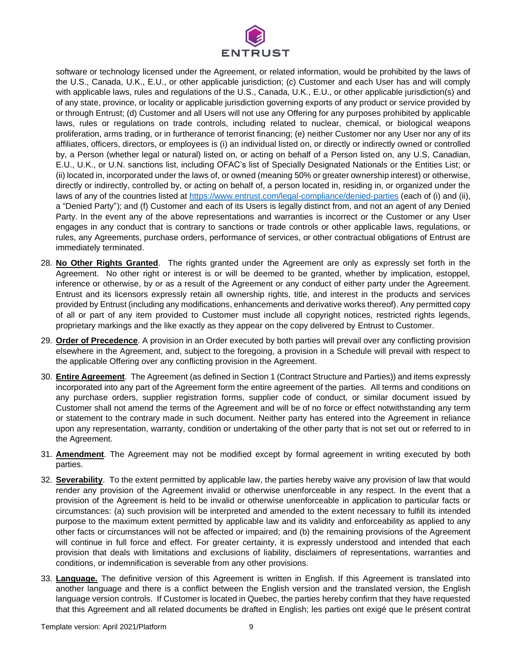

software or technology licensed under the Agreement, or related information, would be prohibited by the laws of the U.S., Canada, U.K., E.U., or other applicable jurisdiction; (c) Customer and each User has and will comply with applicable laws, rules and regulations of the U.S., Canada, U.K., E.U., or other applicable jurisdiction(s) and of any state, province, or locality or applicable jurisdiction governing exports of any product or service provided by or through Entrust; (d) Customer and all Users will not use any Offering for any purposes prohibited by applicable laws, rules or regulations on trade controls, including related to nuclear, chemical, or biological weapons proliferation, arms trading, or in furtherance of terrorist financing; (e) neither Customer nor any User nor any of its affiliates, officers, directors, or employees is (i) an individual listed on, or directly or indirectly owned or controlled by, a Person (whether legal or natural) listed on, or acting on behalf of a Person listed on, any U.S, Canadian, E.U., U.K., or U.N. sanctions list, including OFAC's list of Specially Designated Nationals or the Entities List; or (ii) located in, incorporated under the laws of, or owned (meaning 50% or greater ownership interest) or otherwise, directly or indirectly, controlled by, or acting on behalf of, a person located in, residing in, or organized under the laws of any of the countries listed at<https://www.entrust.com/legal-compliance/denied-parties> (each of (i) and (ii), a "Denied Party"); and (f) Customer and each of its Users is legally distinct from, and not an agent of any Denied Party. In the event any of the above representations and warranties is incorrect or the Customer or any User engages in any conduct that is contrary to sanctions or trade controls or other applicable laws, regulations, or rules, any Agreements, purchase orders, performance of services, or other contractual obligations of Entrust are immediately terminated.

- 28. **No Other Rights Granted**. The rights granted under the Agreement are only as expressly set forth in the Agreement. No other right or interest is or will be deemed to be granted, whether by implication, estoppel, inference or otherwise, by or as a result of the Agreement or any conduct of either party under the Agreement. Entrust and its licensors expressly retain all ownership rights, title, and interest in the products and services provided by Entrust (including any modifications, enhancements and derivative works thereof). Any permitted copy of all or part of any item provided to Customer must include all copyright notices, restricted rights legends, proprietary markings and the like exactly as they appear on the copy delivered by Entrust to Customer.
- 29. **Order of Precedence**. A provision in an Order executed by both parties will prevail over any conflicting provision elsewhere in the Agreement, and, subject to the foregoing, a provision in a Schedule will prevail with respect to the applicable Offering over any conflicting provision in the Agreement.
- 30. **Entire Agreement**. The Agreement (as defined in Section 1(Contract Structure and Parties)) and items expressly incorporated into any part of the Agreement form the entire agreement of the parties. All terms and conditions on any purchase orders, supplier registration forms, supplier code of conduct, or similar document issued by Customer shall not amend the terms of the Agreement and will be of no force or effect notwithstanding any term or statement to the contrary made in such document. Neither party has entered into the Agreement in reliance upon any representation, warranty, condition or undertaking of the other party that is not set out or referred to in the Agreement.
- 31. **Amendment**. The Agreement may not be modified except by formal agreement in writing executed by both parties.
- 32. **Severability**. To the extent permitted by applicable law, the parties hereby waive any provision of law that would render any provision of the Agreement invalid or otherwise unenforceable in any respect. In the event that a provision of the Agreement is held to be invalid or otherwise unenforceable in application to particular facts or circumstances: (a) such provision will be interpreted and amended to the extent necessary to fulfill its intended purpose to the maximum extent permitted by applicable law and its validity and enforceability as applied to any other facts or circumstances will not be affected or impaired; and (b) the remaining provisions of the Agreement will continue in full force and effect. For greater certainty, it is expressly understood and intended that each provision that deals with limitations and exclusions of liability, disclaimers of representations, warranties and conditions, or indemnification is severable from any other provisions.
- 33. **Language.** The definitive version of this Agreement is written in English. If this Agreement is translated into another language and there is a conflict between the English version and the translated version, the English language version controls. If Customer is located in Quebec, the parties hereby confirm that they have requested that this Agreement and all related documents be drafted in English; les parties ont exigé que le présent contrat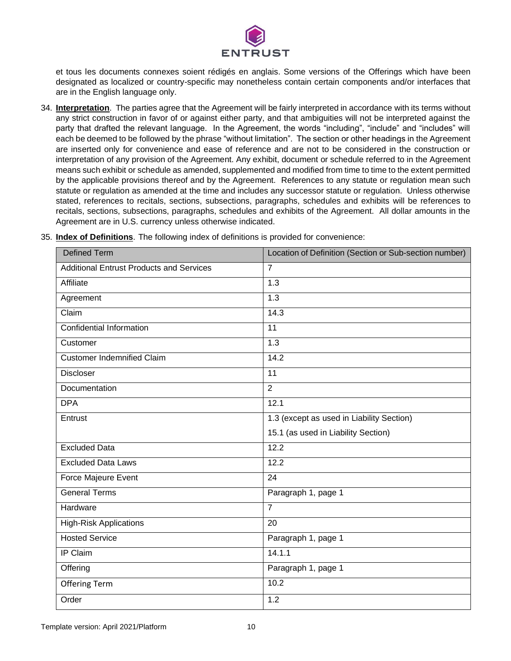

et tous les documents connexes soient rédigés en anglais. Some versions of the Offerings which have been designated as localized or country-specific may nonetheless contain certain components and/or interfaces that are in the English language only.

34. **Interpretation**. The parties agree that the Agreement will be fairly interpreted in accordance with its terms without any strict construction in favor of or against either party, and that ambiguities will not be interpreted against the party that drafted the relevant language. In the Agreement, the words "including", "include" and "includes" will each be deemed to be followed by the phrase "without limitation". The section or other headings in the Agreement are inserted only for convenience and ease of reference and are not to be considered in the construction or interpretation of any provision of the Agreement. Any exhibit, document or schedule referred to in the Agreement means such exhibit or schedule as amended, supplemented and modified from time to time to the extent permitted by the applicable provisions thereof and by the Agreement. References to any statute or regulation mean such statute or regulation as amended at the time and includes any successor statute or regulation. Unless otherwise stated, references to recitals, sections, subsections, paragraphs, schedules and exhibits will be references to recitals, sections, subsections, paragraphs, schedules and exhibits of the Agreement. All dollar amounts in the Agreement are in U.S. currency unless otherwise indicated.

| <b>Defined Term</b>                             | Location of Definition (Section or Sub-section number) |
|-------------------------------------------------|--------------------------------------------------------|
| <b>Additional Entrust Products and Services</b> | $\overline{7}$                                         |
| Affiliate                                       | 1.3                                                    |
| Agreement                                       | 1.3                                                    |
| Claim                                           | 14.3                                                   |
| Confidential Information                        | 11                                                     |
| Customer                                        | $\overline{1.3}$                                       |
| <b>Customer Indemnified Claim</b>               | 14.2                                                   |
| <b>Discloser</b>                                | 11                                                     |
| Documentation                                   | $\overline{2}$                                         |
| <b>DPA</b>                                      | 12.1                                                   |
| Entrust                                         | 1.3 (except as used in Liability Section)              |
|                                                 | 15.1 (as used in Liability Section)                    |
| <b>Excluded Data</b>                            | 12.2                                                   |
| <b>Excluded Data Laws</b>                       | 12.2                                                   |
| Force Majeure Event                             | 24                                                     |
| <b>General Terms</b>                            | Paragraph 1, page 1                                    |
| Hardware                                        | $\overline{7}$                                         |
| <b>High-Risk Applications</b>                   | 20                                                     |
| <b>Hosted Service</b>                           | Paragraph 1, page 1                                    |
| IP Claim                                        | 14.1.1                                                 |
| Offering                                        | Paragraph 1, page 1                                    |
| <b>Offering Term</b>                            | 10.2                                                   |
| Order                                           | 1.2                                                    |

35. **Index of Definitions**. The following index of definitions is provided for convenience: